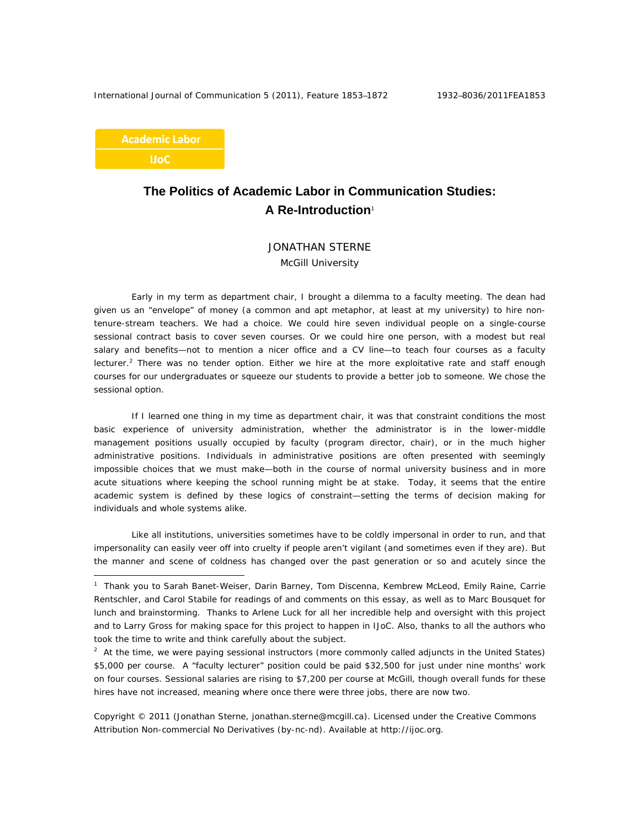**Academic Labor IJoC** 

 $\overline{a}$ 

# **The Politics of Academic Labor in Communication Studies: A Re-Introduction**<sup>1</sup>

JONATHAN STERNE McGill University

Early in my term as department chair, I brought a dilemma to a faculty meeting. The dean had given us an "envelope" of money (a common and apt metaphor, at least at my university) to hire nontenure-stream teachers. We had a choice. We could hire seven individual people on a single-course sessional contract basis to cover seven courses. Or we could hire one person, with a modest but real salary and benefits—not to mention a nicer office and a CV line—to teach four courses as a faculty lecturer.<sup>2</sup> There was no tender option. Either we hire at the more exploitative rate and staff enough courses for our undergraduates or squeeze our students to provide a better job to someone. We chose the sessional option.

If I learned one thing in my time as department chair, it was that constraint conditions the most basic experience of university administration, whether the administrator is in the lower-middle management positions usually occupied by faculty (program director, chair), or in the much higher administrative positions. Individuals in administrative positions are often presented with seemingly impossible choices that we must make—both in the course of normal university business and in more acute situations where keeping the school running might be at stake. Today, it seems that the entire academic system is defined by these logics of constraint—setting the terms of decision making for individuals and whole systems alike.

Like all institutions, universities sometimes have to be coldly impersonal in order to run, and that impersonality can easily veer off into cruelty if people aren't vigilant (and sometimes even if they are). But the manner and scene of coldness has changed over the past generation or so and acutely since the

Copyright © 2011 (Jonathan Sterne, jonathan.sterne@mcgill.ca). Licensed under the Creative Commons Attribution Non-commercial No Derivatives (by-nc-nd). Available at http://ijoc.org.

<sup>&</sup>lt;sup>1</sup> Thank you to Sarah Banet-Weiser, Darin Barney, Tom Discenna, Kembrew McLeod, Emily Raine, Carrie Rentschler, and Carol Stabile for readings of and comments on this essay, as well as to Marc Bousquet for lunch and brainstorming. Thanks to Arlene Luck for all her incredible help and oversight with this project and to Larry Gross for making space for this project to happen in *IJoC*. Also, thanks to all the authors who took the time to write and think carefully about the subject.

 $2$  At the time, we were paying sessional instructors (more commonly called adjuncts in the United States) \$5,000 per course. A "faculty lecturer" position could be paid \$32,500 for just under nine months' work on four courses. Sessional salaries are rising to \$7,200 per course at McGill, though overall funds for these hires have not increased, meaning where once there were three jobs, there are now two.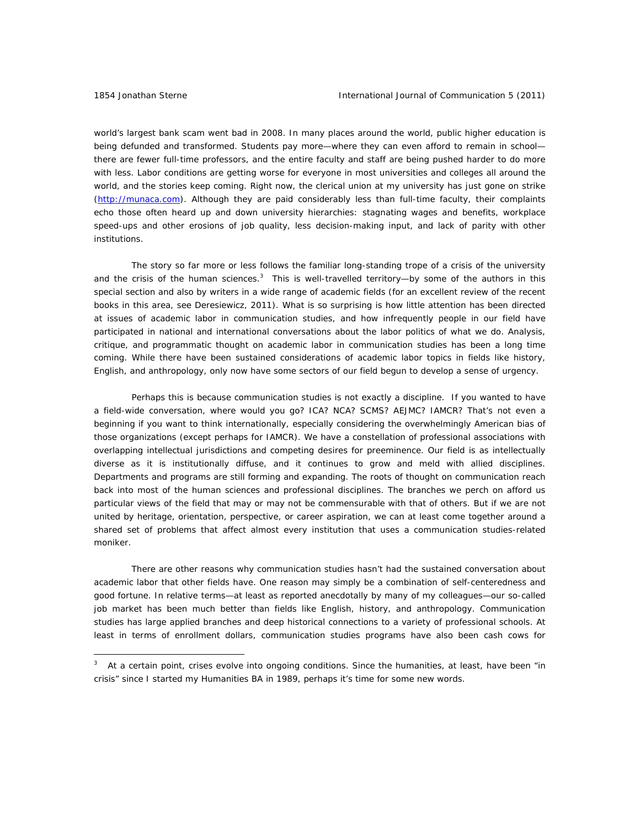$\overline{a}$ 

world's largest bank scam went bad in 2008. In many places around the world, public higher education is being defunded and transformed. Students pay more—where they can even afford to remain in school there are fewer full-time professors, and the entire faculty and staff are being pushed harder to do more with less. Labor conditions are getting worse for everyone in most universities and colleges all around the world, and the stories keep coming. Right now, the clerical union at my university has just gone on strike (http://munaca.com). Although they are paid considerably less than full-time faculty, their complaints echo those often heard up and down university hierarchies: stagnating wages and benefits, workplace speed-ups and other erosions of job quality, less decision-making input, and lack of parity with other institutions.

The story so far more or less follows the familiar long-standing trope of a crisis of the university and the crisis of the human sciences.<sup>3</sup> This is well-travelled territory—by some of the authors in this special section and also by writers in a wide range of academic fields (for an excellent review of the recent books in this area, see Deresiewicz, 2011). What is so surprising is how little attention has been directed at issues of academic labor in communication studies, and how infrequently people in our field have participated in national and international conversations about the labor politics of what we do. Analysis, critique, and programmatic thought on academic labor in communication studies has been a long time coming. While there have been sustained considerations of academic labor topics in fields like history, English, and anthropology, only now have some sectors of our field begun to develop a sense of urgency.

Perhaps this is because communication studies is not exactly a discipline. If you wanted to have a field-wide conversation, where would you go? ICA? NCA? SCMS? AEJMC? IAMCR? That's not even a beginning if you want to think internationally, especially considering the overwhelmingly American bias of those organizations (except perhaps for IAMCR). We have a constellation of professional associations with overlapping intellectual jurisdictions and competing desires for preeminence. Our field is as intellectually diverse as it is institutionally diffuse, and it continues to grow and meld with allied disciplines. Departments and programs are still forming and expanding. The roots of thought on communication reach back into most of the human sciences and professional disciplines. The branches we perch on afford us particular views of the field that may or may not be commensurable with that of others. But if we are not united by heritage, orientation, perspective, or career aspiration, we can at least come together around a shared set of problems that affect almost every institution that uses a communication studies-related moniker.

 There are other reasons why communication studies hasn't had the sustained conversation about academic labor that other fields have. One reason may simply be a combination of self-centeredness and good fortune. In relative terms—at least as reported anecdotally by many of my colleagues—our so-called job market has been much better than fields like English, history, and anthropology. Communication studies has large applied branches and deep historical connections to a variety of professional schools. At least in terms of enrollment dollars, communication studies programs have also been cash cows for

<sup>&</sup>lt;sup>3</sup> At a certain point, crises evolve into ongoing conditions. Since the humanities, at least, have been "in crisis" since I started my Humanities BA in 1989, perhaps it's time for some new words.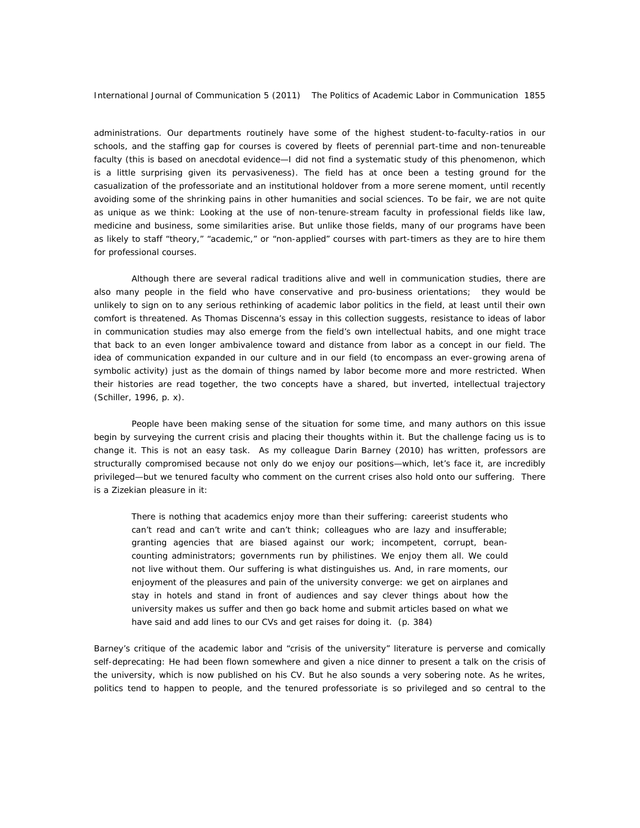administrations. Our departments routinely have some of the highest student-to-faculty-ratios in our schools, and the staffing gap for courses is covered by fleets of perennial part-time and non-tenureable faculty (this is based on anecdotal evidence--I did not find a systematic study of this phenomenon, which is a little surprising given its pervasiveness). The field has at once been a testing ground for the casualization of the professoriate and an institutional holdover from a more serene moment, until recently avoiding some of the shrinking pains in other humanities and social sciences. To be fair, we are not quite as unique as we think: Looking at the use of non-tenure-stream faculty in professional fields like law, medicine and business, some similarities arise. But unlike those fields, many of our programs have been as likely to staff "theory," "academic," or "non-applied" courses with part-timers as they are to hire them for professional courses.

Although there are several radical traditions alive and well in communication studies, there are also many people in the field who have conservative and pro-business orientations; they would be unlikely to sign on to any serious rethinking of academic labor politics in the field, at least until their own comfort is threatened. As Thomas Discenna's essay in this collection suggests, resistance to ideas of labor in communication studies may also emerge from the field's own intellectual habits, and one might trace that back to an even longer ambivalence toward and distance from labor as a concept in our field. The idea of communication expanded in our culture and in our field (to encompass an ever-growing arena of symbolic activity) just as the domain of things named by labor become more and more restricted. When their histories are read together, the two concepts have a shared, but inverted, intellectual trajectory (Schiller, 1996, p. x).

People have been making sense of the situation for some time, and many authors on this issue begin by surveying the current crisis and placing their thoughts within it. But the challenge facing us is to change it. This is not an easy task. As my colleague Darin Barney (2010) has written, professors are structurally compromised because not only do we enjoy our positions—which, let's face it, are incredibly privileged—but we tenured faculty who comment on the current crises also hold onto our suffering. There is a Zizekian pleasure in it:

There is nothing that academics enjoy more than their suffering: careerist students who can't read and can't write and can't think; colleagues who are lazy and insufferable; granting agencies that are biased against our work; incompetent, corrupt, beancounting administrators; governments run by philistines. We enjoy them all. We could not live without them. Our suffering is what distinguishes us. And, in rare moments, our enjoyment of the pleasures and pain of the university converge: we get on airplanes and stay in hotels and stand in front of audiences and say clever things about how the university makes us suffer and then go back home and submit articles based on what we have said and add lines to our CVs and get raises for doing it. (p. 384)

Barney's critique of the academic labor and "crisis of the university" literature is perverse and comically self-deprecating: He had been flown somewhere and given a nice dinner to present a talk on the crisis of the university, which is now published on his CV. But he also sounds a very sobering note. As he writes, politics tend to happen to people, and the tenured professoriate is so privileged and so central to the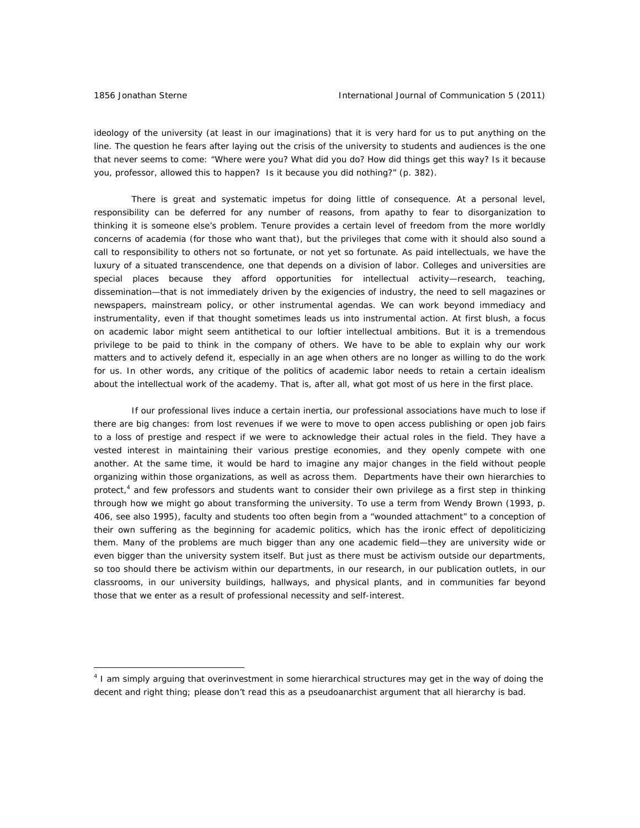$\overline{a}$ 

ideology of the university (at least in our imaginations) that it is very hard for us to put anything on the line. The question he fears after laying out the crisis of the university to students and audiences is the one that never seems to come: "Where were *you*? What did you *do*? How did things get this way? Is it because you, *professor*, allowed this to happen? Is it because you did *nothing*?" (p. 382).

There is great and systematic impetus for doing little of consequence. At a personal level, responsibility can be deferred for any number of reasons, from apathy to fear to disorganization to thinking it is someone else's problem. Tenure provides a certain level of freedom from the more worldly concerns of academia (for those who want that), but the privileges that come with it should also sound a call to responsibility to others not so fortunate, or not yet so fortunate. As paid intellectuals, we have the luxury of a situated transcendence, one that depends on a division of labor. Colleges and universities are special places because they afford opportunities for intellectual activity—research, teaching, dissemination—that is not immediately driven by the exigencies of industry, the need to sell magazines or newspapers, mainstream policy, or other instrumental agendas. We can work beyond immediacy and instrumentality, even if that thought sometimes leads us into instrumental action. At first blush, a focus on academic labor might seem antithetical to our loftier intellectual ambitions. But it is a tremendous privilege to be paid to think in the company of others. We have to be able to explain why our work matters and to actively defend it, especially in an age when others are no longer as willing to do the work for us. In other words, any critique of the politics of academic labor needs to retain a certain idealism about the intellectual work of the academy. That is, after all, what got most of us here in the first place.

If our professional lives induce a certain inertia, our professional associations have much to lose if there are big changes: from lost revenues if we were to move to open access publishing or open job fairs to a loss of prestige and respect if we were to acknowledge their actual roles in the field. They have a vested interest in maintaining their various prestige economies, and they openly compete with one another. At the same time, it would be hard to imagine any major changes in the field without people organizing within those organizations, as well as across them. Departments have their own hierarchies to protect,<sup>4</sup> and few professors and students want to consider their own privilege as a first step in thinking through how we might go about transforming the university. To use a term from Wendy Brown (1993, p. 406, see also 1995), faculty and students too often begin from a "wounded attachment" to a conception of their own suffering as the beginning for academic politics, which has the ironic effect of depoliticizing them. Many of the problems are much bigger than any one academic field—they are university wide or even bigger than the university system itself. But just as there must be activism outside our departments, so too should there be activism within our departments, in our research, in our publication outlets, in our classrooms, in our university buildings, hallways, and physical plants, and in communities far beyond those that we enter as a result of professional necessity and self-interest.

<sup>&</sup>lt;sup>4</sup> I am simply arguing that overinvestment in some hierarchical structures may get in the way of doing the decent and right thing; please don't read this as a pseudoanarchist argument that all hierarchy is bad.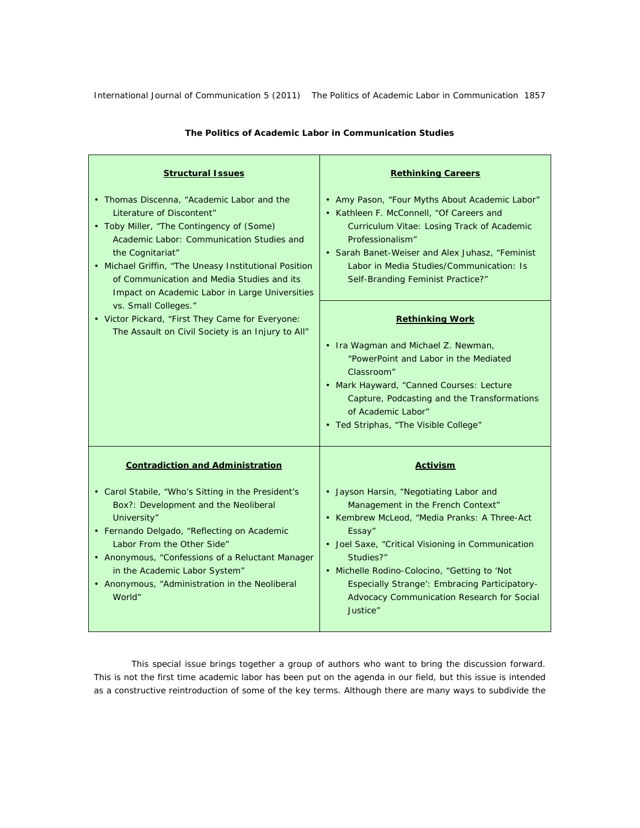| <b>Structural Issues</b>                                                                                                                                                                                                                                                                                                                                                                                                                                                      | <b>Rethinking Careers</b>                                                                                                                                                                                                                                                                                                                                           |
|-------------------------------------------------------------------------------------------------------------------------------------------------------------------------------------------------------------------------------------------------------------------------------------------------------------------------------------------------------------------------------------------------------------------------------------------------------------------------------|---------------------------------------------------------------------------------------------------------------------------------------------------------------------------------------------------------------------------------------------------------------------------------------------------------------------------------------------------------------------|
| • Thomas Discenna, "Academic Labor and the<br>Literature of Discontent"<br>• Toby Miller, "The Contingency of (Some)<br>Academic Labor: Communication Studies and<br>the Cognitariat"<br>Michael Griffin, "The Uneasy Institutional Position<br>of Communication and Media Studies and its<br>Impact on Academic Labor in Large Universities<br>vs. Small Colleges."<br>• Victor Pickard, "First They Came for Everyone:<br>The Assault on Civil Society is an Injury to All" | • Amy Pason, "Four Myths About Academic Labor"<br>• Kathleen F. McConnell, "Of Careers and<br>Curriculum Vitae: Losing Track of Academic<br>Professionalism"<br>• Sarah Banet-Weiser and Alex Juhasz, "Feminist"<br>Labor in Media Studies/Communication: Is<br>Self-Branding Feminist Practice?"                                                                   |
|                                                                                                                                                                                                                                                                                                                                                                                                                                                                               | <b>Rethinking Work</b><br>• Ira Wagman and Michael Z. Newman,<br>"PowerPoint and Labor in the Mediated<br>Classroom"<br>• Mark Hayward, "Canned Courses: Lecture<br>Capture, Podcasting and the Transformations<br>of Academic Labor"<br>• Ted Striphas, "The Visible College"                                                                                      |
| <b>Contradiction and Administration</b>                                                                                                                                                                                                                                                                                                                                                                                                                                       | <b>Activism</b>                                                                                                                                                                                                                                                                                                                                                     |
| • Carol Stabile, "Who's Sitting in the President's<br>Box?: Development and the Neoliberal<br>University"<br>• Fernando Delgado, "Reflecting on Academic<br>Labor From the Other Side"<br>• Anonymous, "Confessions of a Reluctant Manager<br>in the Academic Labor System"<br>Anonymous, "Administration in the Neoliberal<br>World"                                                                                                                                         | • Jayson Harsin, "Negotiating Labor and<br>Management in the French Context"<br>• Kembrew McLeod, "Media Pranks: A Three-Act<br>Essay"<br>• Joel Saxe, "Critical Visioning in Communication<br>Studies?"<br>· Michelle Rodino-Colocino, "Getting to 'Not<br>Especially Strange': Embracing Participatory-<br>Advocacy Communication Research for Social<br>Justice" |

## **The Politics of Academic Labor in Communication Studies**

This special issue brings together a group of authors who want to bring the discussion forward. This is not the first time academic labor has been put on the agenda in our field, but this issue is intended as a constructive reintroduction of some of the key terms. Although there are many ways to subdivide the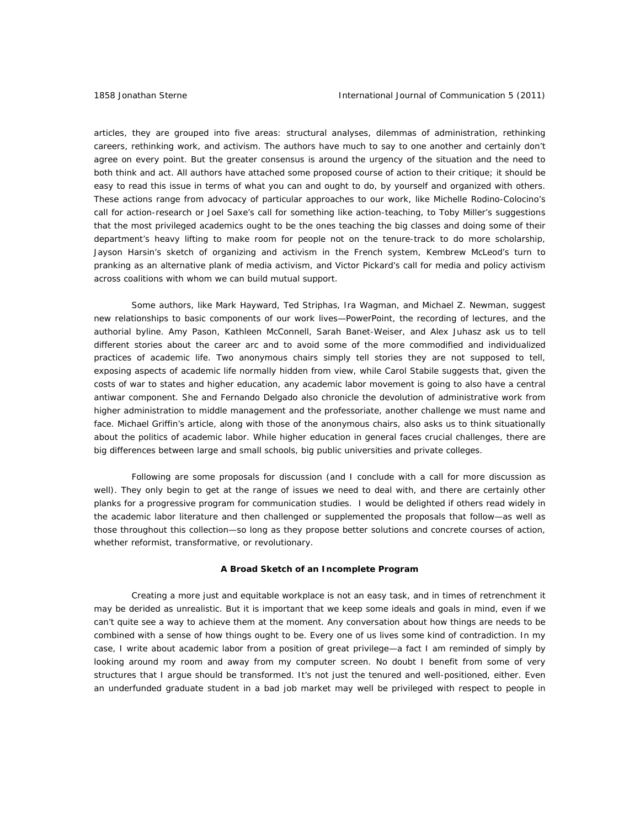articles, they are grouped into five areas: structural analyses, dilemmas of administration, rethinking careers, rethinking work, and activism. The authors have much to say to one another and certainly don't agree on every point. But the greater consensus is around the urgency of the situation and the need to both think and act. All authors have attached some proposed course of action to their critique; it should be easy to read this issue in terms of what you can and ought to do, by yourself and organized with others. These actions range from advocacy of particular approaches to our work, like Michelle Rodino-Colocino's call for action-research or Joel Saxe's call for something like action-teaching, to Toby Miller's suggestions that the most privileged academics ought to be the ones teaching the big classes and doing some of their department's heavy lifting to make room for people not on the tenure-track to do more scholarship, Jayson Harsin's sketch of organizing and activism in the French system, Kembrew McLeod's turn to pranking as an alternative plank of media activism, and Victor Pickard's call for media and policy activism across coalitions with whom we can build mutual support.

Some authors, like Mark Hayward, Ted Striphas, Ira Wagman, and Michael Z. Newman, suggest new relationships to basic components of our work lives—PowerPoint, the recording of lectures, and the authorial byline. Amy Pason, Kathleen McConnell, Sarah Banet-Weiser, and Alex Juhasz ask us to tell different stories about the career arc and to avoid some of the more commodified and individualized practices of academic life. Two anonymous chairs simply tell stories they are not supposed to tell, exposing aspects of academic life normally hidden from view, while Carol Stabile suggests that, given the costs of war to states and higher education, any academic labor movement is going to also have a central antiwar component. She and Fernando Delgado also chronicle the devolution of administrative work from higher administration to middle management and the professoriate, another challenge we must name and face. Michael Griffin's article, along with those of the anonymous chairs, also asks us to think situationally about the politics of academic labor. While higher education in general faces crucial challenges, there are big differences between large and small schools, big public universities and private colleges.

Following are some proposals for discussion (and I conclude with a call for more discussion as well). They only begin to get at the range of issues we need to deal with, and there are certainly other planks for a progressive program for communication studies. I would be delighted if others read widely in the academic labor literature and then challenged or supplemented the proposals that follow—as well as those throughout this collection—so long as they propose better solutions and concrete courses of action, whether reformist, transformative, or revolutionary.

#### **A Broad Sketch of an Incomplete Program**

Creating a more just and equitable workplace is not an easy task, and in times of retrenchment it may be derided as unrealistic. But it is important that we keep some ideals and goals in mind, even if we can't quite see a way to achieve them at the moment. Any conversation about how things are needs to be combined with a sense of how things ought to be. Every one of us lives some kind of contradiction. In my case, I write about academic labor from a position of great privilege—a fact I am reminded of simply by looking around my room and away from my computer screen. No doubt I benefit from some of very structures that I argue should be transformed. It's not just the tenured and well-positioned, either. Even an underfunded graduate student in a bad job market may well be privileged with respect to people in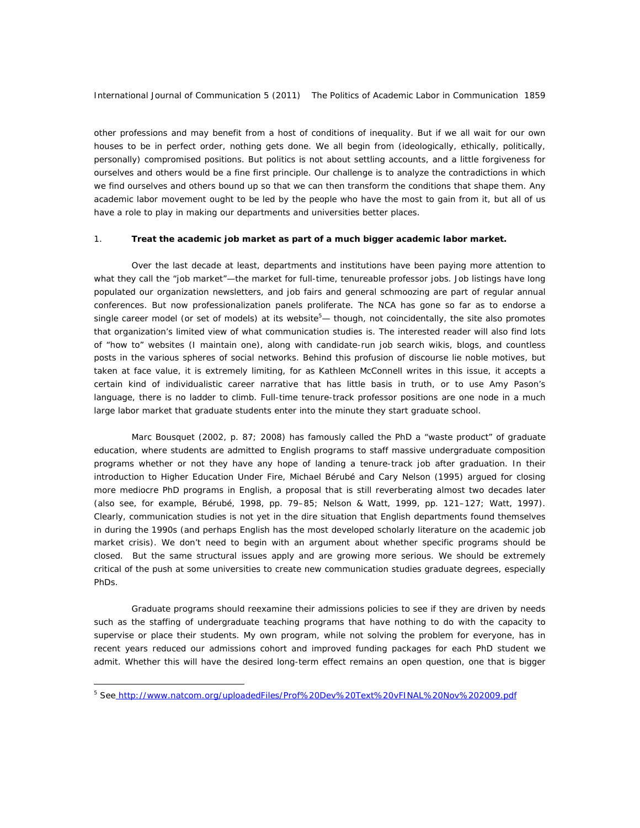other professions and may benefit from a host of conditions of inequality. But if we all wait for our own houses to be in perfect order, nothing gets done. We all begin from (ideologically, ethically, politically, personally) compromised positions. But politics is not about settling accounts, and a little forgiveness for ourselves and others would be a fine first principle. Our challenge is to analyze the contradictions in which we find ourselves and others bound up so that we can then transform the conditions that shape them. Any academic labor movement ought to be led by the people who have the most to gain from it, but all of us have a role to play in making our departments and universities better places.

#### 1. *Treat the academic job market as part of a much bigger academic labor market.*

Over the last decade at least, departments and institutions have been paying more attention to what they call the "job market"—the market for full-time, tenureable professor jobs. Job listings have long populated our organization newsletters, and job fairs and general schmoozing are part of regular annual conferences. But now professionalization panels proliferate. The NCA has gone so far as to endorse a single career model (or set of models) at its website<sup>5</sup> — though, not coincidentally, the site also promotes that organization's limited view of what communication studies is. The interested reader will also find lots of "how to" websites (I maintain one), along with candidate-run job search wikis, blogs, and countless posts in the various spheres of social networks. Behind this profusion of discourse lie noble motives, but taken at face value, it is extremely limiting, for as Kathleen McConnell writes in this issue, it accepts a certain kind of individualistic career narrative that has little basis in truth, or to use Amy Pason's language, there is no ladder to climb. Full-time tenure-track professor positions are one node in a much large labor market that graduate students enter into the minute they start graduate school.

Marc Bousquet (2002, p. 87; 2008) has famously called the PhD a "waste product" of graduate education, where students are admitted to English programs to staff massive undergraduate composition programs whether or not they have any hope of landing a tenure-track job after graduation. In their introduction to *Higher Education Under Fire*, Michael Bérubé and Cary Nelson (1995) argued for closing more mediocre PhD programs in English, a proposal that is still reverberating almost two decades later (also see, for example, Bérubé, 1998, pp. 79–85; Nelson & Watt, 1999, pp. 121–127; Watt, 1997). Clearly, communication studies is not yet in the dire situation that English departments found themselves in during the 1990s (and perhaps English has the most developed scholarly literature on the academic job market crisis). We don't need to begin with an argument about whether specific programs should be closed. But the same structural issues apply and are growing more serious. We should be extremely critical of the push at some universities to create new communication studies graduate degrees, especially PhDs.

Graduate programs should reexamine their admissions policies to see if they are driven by needs such as the staffing of undergraduate teaching programs that have nothing to do with the capacity to supervise or place their students. My own program, while not solving the problem for everyone, has in recent years reduced our admissions cohort and improved funding packages for each PhD student we admit. Whether this will have the desired long-term effect remains an open question, one that is bigger

 $\overline{a}$ 

<sup>5</sup> See http://www.natcom.org/uploadedFiles/Prof%20Dev%20Text%20vFINAL%20Nov%202009.pdf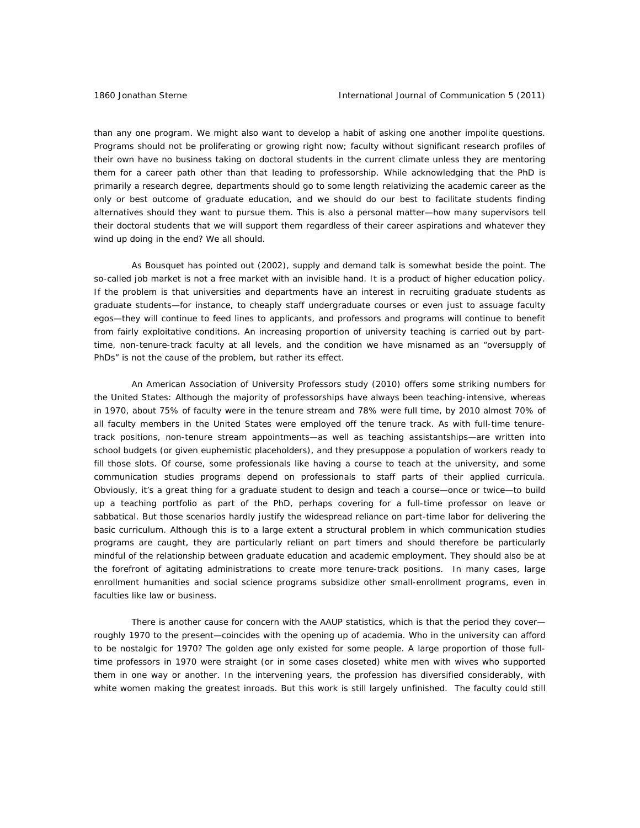than any one program. We might also want to develop a habit of asking one another impolite questions. Programs should not be proliferating or growing right now; faculty without significant research profiles of their own have no business taking on doctoral students in the current climate unless they are mentoring them for a career path other than that leading to professorship. While acknowledging that the PhD is primarily a research degree, departments should go to some length relativizing the academic career as the only or best outcome of graduate education, and we should do our best to facilitate students finding alternatives should they want to pursue them. This is also a personal matter—how many supervisors tell their doctoral students that we will support them regardless of their career aspirations and whatever they wind up doing in the end? We all should.

As Bousquet has pointed out (2002), supply and demand talk is somewhat beside the point. The so-called job market is not a free market with an invisible hand. It is a product of higher education policy. If the problem is that universities and departments have an interest in recruiting graduate students *as graduate students—*for instance, to cheaply staff undergraduate courses or even just to assuage faculty egos—they will continue to feed lines to applicants, and professors and programs will continue to benefit from fairly exploitative conditions. An increasing proportion of university teaching is carried out by parttime, non-tenure-track faculty at all levels, and the condition we have misnamed as an "oversupply of PhDs" is not the cause of the problem, but rather its effect.

An American Association of University Professors study (2010) offers some striking numbers for the United States: Although the majority of professorships have always been teaching-intensive, whereas in 1970, about 75% of faculty were in the tenure stream and 78% were full time, by 2010 almost 70% of all faculty members in the United States were employed off the tenure track. As with full-time tenuretrack positions, non-tenure stream appointments—as well as teaching assistantships—are written into school budgets (or given euphemistic placeholders), and they presuppose a population of workers ready to fill those slots. Of course, some professionals like having a course to teach at the university, and some communication studies programs depend on professionals to staff parts of their applied curricula. Obviously, it's a great thing for a graduate student to design and teach a course—once or twice—to build up a teaching portfolio as part of the PhD, perhaps covering for a full-time professor on leave or sabbatical. But those scenarios hardly justify the widespread reliance on part-time labor for delivering the basic curriculum. Although this is to a large extent a structural problem in which communication studies programs are caught, they are particularly reliant on part timers and should therefore be particularly mindful of the relationship between graduate education and academic employment. They should also be at the forefront of agitating administrations to create more tenure-track positions. In many cases, large enrollment humanities and social science programs subsidize other small-enrollment programs, even in faculties like law or business.

There is another cause for concern with the AAUP statistics, which is that the period they coverroughly 1970 to the present—coincides with the opening up of academia. Who in the university can afford to be nostalgic for 1970? The golden age only existed for some people. A large proportion of those fulltime professors in 1970 were straight (or in some cases closeted) white men with wives who supported them in one way or another. In the intervening years, the profession has diversified considerably, with white women making the greatest inroads. But this work is still largely unfinished. The faculty could still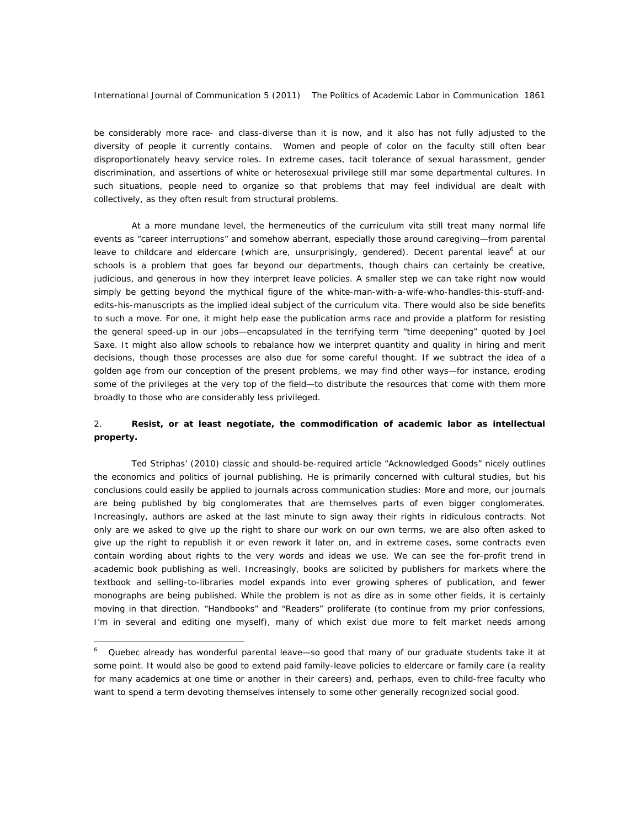be considerably more race- and class-diverse than it is now, and it also has not fully adjusted to the diversity of people it currently contains. Women and people of color on the faculty still often bear disproportionately heavy service roles. In extreme cases, tacit tolerance of sexual harassment, gender discrimination, and assertions of white or heterosexual privilege still mar some departmental cultures. In such situations, people need to organize so that problems that may feel individual are dealt with collectively, as they often result from structural problems.

At a more mundane level, the hermeneutics of the curriculum vita still treat many normal life events as "career interruptions" and somehow aberrant, especially those around caregiving—from parental leave to childcare and eldercare (which are, unsurprisingly, gendered). Decent parental leave<sup>6</sup> at our schools is a problem that goes far beyond our departments, though chairs can certainly be creative, judicious, and generous in how they interpret leave policies. A smaller step we can take right now would simply be getting beyond the mythical figure of the white-man-with-a-wife-who-handles-this-stuff-andedits-his-manuscripts as the implied ideal subject of the curriculum vita. There would also be side benefits to such a move. For one, it might help ease the publication arms race and provide a platform for resisting the general speed-up in our jobs—encapsulated in the terrifying term "time deepening" quoted by Joel Saxe. It might also allow schools to rebalance how we interpret quantity and quality in hiring and merit decisions, though those processes are also due for some careful thought. If we subtract the idea of a golden age from our conception of the present problems, we may find other ways—for instance, eroding some of the privileges at the very top of the field—to distribute the resources that come with them more broadly to those who are considerably less privileged.

## 2. *Resist, or at least negotiate, the commodification of academic labor as intellectual property.*

 Ted Striphas' (2010) classic and should-be-required article "Acknowledged Goods" nicely outlines the economics and politics of journal publishing. He is primarily concerned with cultural studies, but his conclusions could easily be applied to journals across communication studies: More and more, our journals are being published by big conglomerates that are themselves parts of even bigger conglomerates. Increasingly, authors are asked at the last minute to sign away their rights in ridiculous contracts. Not only are we asked to give up the right to share our work on our own terms, we are also often asked to give up the right to republish it or even rework it later on, and in extreme cases, some contracts even contain wording about rights to the very words and ideas we use. We can see the for-profit trend in academic book publishing as well. Increasingly, books are solicited by publishers for markets where the textbook and selling-to-libraries model expands into ever growing spheres of publication, and fewer monographs are being published. While the problem is not as dire as in some other fields, it is certainly moving in that direction. "Handbooks" and "Readers" proliferate (to continue from my prior confessions, I'm in several and editing one myself), many of which exist due more to felt market needs among

 $\overline{a}$ 

<sup>6</sup> Quebec already has wonderful parental leave—so good that many of our graduate students take it at some point. It would also be good to extend paid family-leave policies to eldercare or family care (a reality for many academics at one time or another in their careers) and, perhaps, even to child-free faculty who want to spend a term devoting themselves intensely to some other generally recognized social good.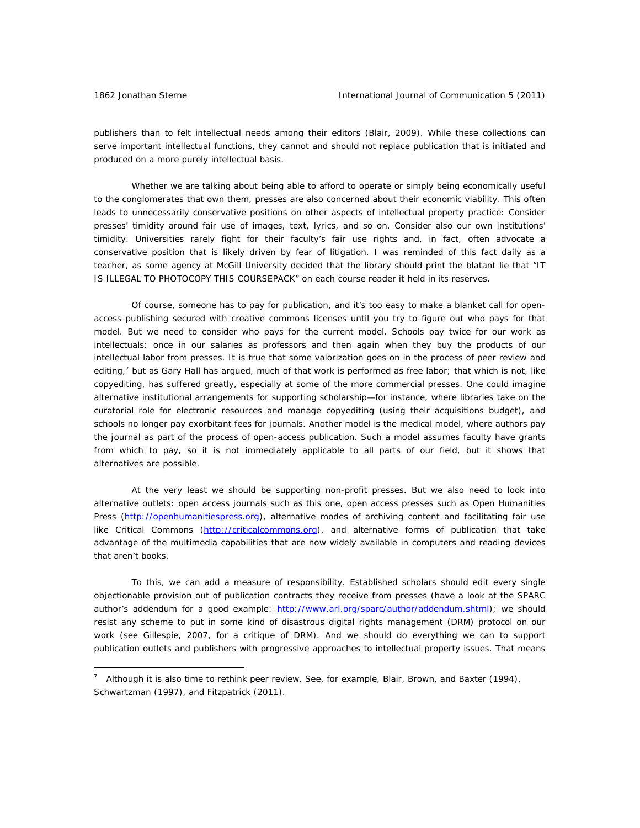$\overline{a}$ 

publishers than to felt intellectual needs among their editors (Blair, 2009). While these collections can serve important intellectual functions, they cannot and should not replace publication that is initiated and produced on a more purely intellectual basis.

 Whether we are talking about being able to afford to operate or simply being economically useful to the conglomerates that own them, presses are also concerned about their economic viability. This often leads to unnecessarily conservative positions on other aspects of intellectual property practice: Consider presses' timidity around fair use of images, text, lyrics, and so on. Consider also our own institutions' timidity. Universities rarely fight for their faculty's fair use rights and, in fact, often advocate a conservative position that is likely driven by fear of litigation. I was reminded of this fact daily as a teacher, as some agency at McGill University decided that the library should print the blatant lie that "IT IS ILLEGAL TO PHOTOCOPY THIS COURSEPACK" on each course reader it held in its reserves.

 Of course, someone has to pay for publication, and it's too easy to make a blanket call for openaccess publishing secured with creative commons licenses until you try to figure out who pays for that model. But we need to consider who pays for the current model. Schools pay twice for our work as intellectuals: once in our salaries as professors and then again when they buy the products of our intellectual labor from presses. It is true that some valorization goes on in the process of peer review and editing,<sup>7</sup> but as Gary Hall has argued, much of that work is performed as free labor; that which is not, like copyediting, has suffered greatly, especially at some of the more commercial presses. One could imagine alternative institutional arrangements for supporting scholarship—for instance, where libraries take on the curatorial role for electronic resources and manage copyediting (using their acquisitions budget), and schools no longer pay exorbitant fees for journals. Another model is the medical model, where authors pay the journal as part of the process of open-access publication. Such a model assumes faculty have grants from which to pay, so it is not immediately applicable to all parts of our field, but it shows that alternatives are possible.

At the very least we should be supporting non-profit presses. But we also need to look into alternative outlets: open access journals such as this one, open access presses such as Open Humanities Press (http://openhumanitiespress.org), alternative modes of archiving content and facilitating fair use like Critical Commons (http://criticalcommons.org), and alternative forms of publication that take advantage of the multimedia capabilities that are now widely available in computers and reading devices that aren't books.

 To this, we can add a measure of responsibility. Established scholars should edit every single objectionable provision out of publication contracts they receive from presses (have a look at the SPARC author's addendum for a good example: http://www.arl.org/sparc/author/addendum.shtml); we should resist any scheme to put in some kind of disastrous digital rights management (DRM) protocol on our work (see Gillespie, 2007, for a critique of DRM). And we should do everything we can to support publication outlets and publishers with progressive approaches to intellectual property issues. That means

<sup>&</sup>lt;sup>7</sup> Although it is also time to rethink peer review. See, for example, Blair, Brown, and Baxter (1994), Schwartzman (1997), and Fitzpatrick (2011).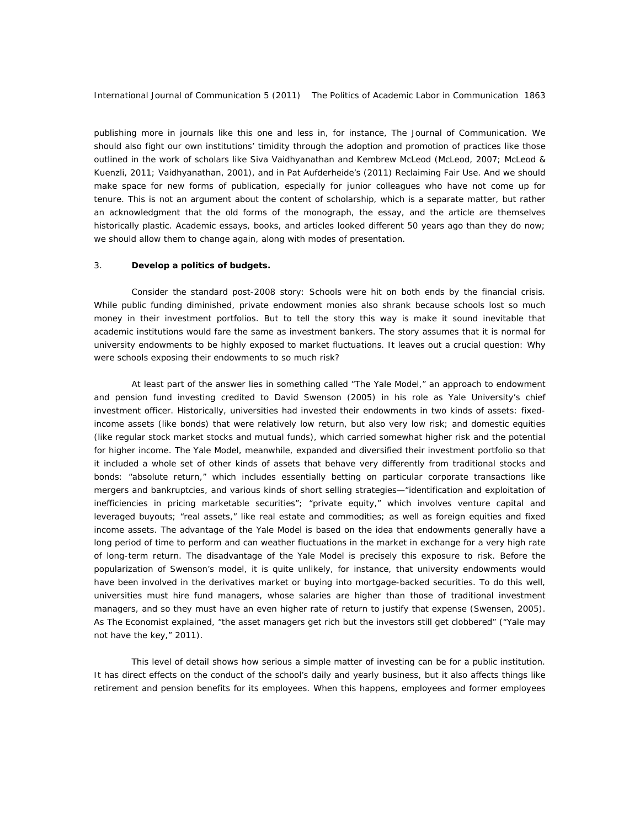publishing more in journals like this one and less in, for instance, *The Journal of Communication*. We should also fight our own institutions' timidity through the adoption and promotion of practices like those outlined in the work of scholars like Siva Vaidhyanathan and Kembrew McLeod (McLeod, 2007; McLeod & Kuenzli, 2011; Vaidhyanathan, 2001), and in Pat Aufderheide's (2011) *Reclaiming Fair Use*. And we should make space for new forms of publication, especially for junior colleagues who have not come up for tenure. This is not an argument about the content of scholarship, which is a separate matter, but rather an acknowledgment that the old forms of the monograph, the essay, and the article are themselves historically plastic. Academic essays, books, and articles looked different 50 years ago than they do now; we should allow them to change again, along with modes of presentation.

## 3. *Develop a politics of budgets.*

Consider the standard post-2008 story: Schools were hit on both ends by the financial crisis. While public funding diminished, private endowment monies also shrank because schools lost so much money in their investment portfolios. But to tell the story this way is make it sound inevitable that academic institutions would fare the same as investment bankers. The story assumes that it is normal for university endowments to be highly exposed to market fluctuations. It leaves out a crucial question: Why were schools exposing their endowments to so much risk?

At least part of the answer lies in something called "The Yale Model," an approach to endowment and pension fund investing credited to David Swenson (2005) in his role as Yale University's chief investment officer. Historically, universities had invested their endowments in two kinds of assets: fixedincome assets (like bonds) that were relatively low return, but also very low risk; and domestic equities (like regular stock market stocks and mutual funds), which carried somewhat higher risk and the potential for higher income. The Yale Model, meanwhile, expanded and diversified their investment portfolio so that it included a whole set of other kinds of assets that behave very differently from traditional stocks and bonds: "absolute return," which includes essentially betting on particular corporate transactions like mergers and bankruptcies, and various kinds of short selling strategies—"identification and exploitation of inefficiencies in pricing marketable securities"; "private equity," which involves venture capital and leveraged buyouts; "real assets," like real estate and commodities; as well as foreign equities and fixed income assets. The advantage of the Yale Model is based on the idea that endowments generally have a long period of time to perform and can weather fluctuations in the market in exchange for a very high rate of long-term return. The disadvantage of the Yale Model is precisely this exposure to risk. Before the popularization of Swenson's model, it is quite unlikely, for instance, that university endowments would have been involved in the derivatives market or buying into mortgage-backed securities. To do this well, universities must hire fund managers, whose salaries are higher than those of traditional investment managers, and so they must have an even higher rate of return to justify that expense (Swensen, 2005). As *The Economist* explained, "the asset managers get rich but the investors still get clobbered" ("Yale may not have the key," 2011).

This level of detail shows how serious a simple matter of investing can be for a public institution. It has direct effects on the conduct of the school's daily and yearly business, but it also affects things like retirement and pension benefits for its employees. When this happens, employees and former employees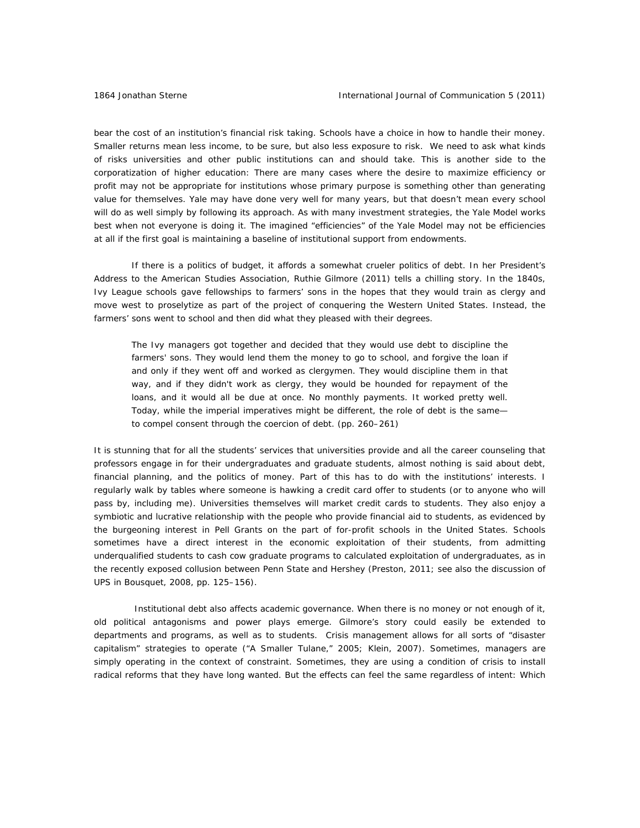bear the cost of an institution's financial risk taking. Schools have a choice in how to handle their money. Smaller returns mean less income, to be sure, but also less exposure to risk. We need to ask what kinds of risks universities and other public institutions can and should take. This is another side to the corporatization of higher education: There are many cases where the desire to maximize efficiency or profit may not be appropriate for institutions whose primary purpose is something other than generating value for themselves. Yale may have done very well for many years, but that doesn't mean every school will do as well simply by following its approach. As with many investment strategies, the Yale Model works best when not everyone is doing it. The imagined "efficiencies" of the Yale Model may not be efficiencies at all if the first goal is maintaining a baseline of institutional support from endowments.

If there is a politics of budget, it affords a somewhat crueler politics of debt. In her President's Address to the American Studies Association, Ruthie Gilmore (2011) tells a chilling story. In the 1840s, Ivy League schools gave fellowships to farmers' sons in the hopes that they would train as clergy and move west to proselytize as part of the project of conquering the Western United States. Instead, the farmers' sons went to school and then did what they pleased with their degrees.

The Ivy managers got together and decided that they would use debt to discipline the farmers' sons. They would lend them the money to go to school, and forgive the loan if and only if they went off and worked as clergymen. They would discipline them in that way, and if they didn't work as clergy, they would be hounded for repayment of the loans, and it would all be due at once. No monthly payments. It worked pretty well. Today, while the imperial imperatives might be different, the role of debt is the same to compel consent through the coercion of debt. (pp. 260–261)

It is stunning that for all the students' services that universities provide and all the career counseling that professors engage in for their undergraduates and graduate students, almost nothing is said about debt, financial planning, and the politics of money. Part of this has to do with the institutions' interests. I regularly walk by tables where someone is hawking a credit card offer to students (or to anyone who will pass by, including me). Universities themselves will market credit cards to students. They also enjoy a symbiotic and lucrative relationship with the people who provide financial aid to students, as evidenced by the burgeoning interest in Pell Grants on the part of for-profit schools in the United States. Schools sometimes have a direct interest in the economic exploitation of their students, from admitting underqualified students to cash cow graduate programs to calculated exploitation of undergraduates, as in the recently exposed collusion between Penn State and Hershey (Preston, 2011; see also the discussion of UPS in Bousquet, 2008, pp. 125–156).

 Institutional debt also affects academic governance. When there is no money or not enough of it, old political antagonisms and power plays emerge. Gilmore's story could easily be extended to departments and programs, as well as to students. Crisis management allows for all sorts of "disaster capitalism" strategies to operate ("A Smaller Tulane," 2005; Klein, 2007). Sometimes, managers are simply operating in the context of constraint. Sometimes, they are using a condition of crisis to install radical reforms that they have long wanted. But the effects can feel the same regardless of intent: Which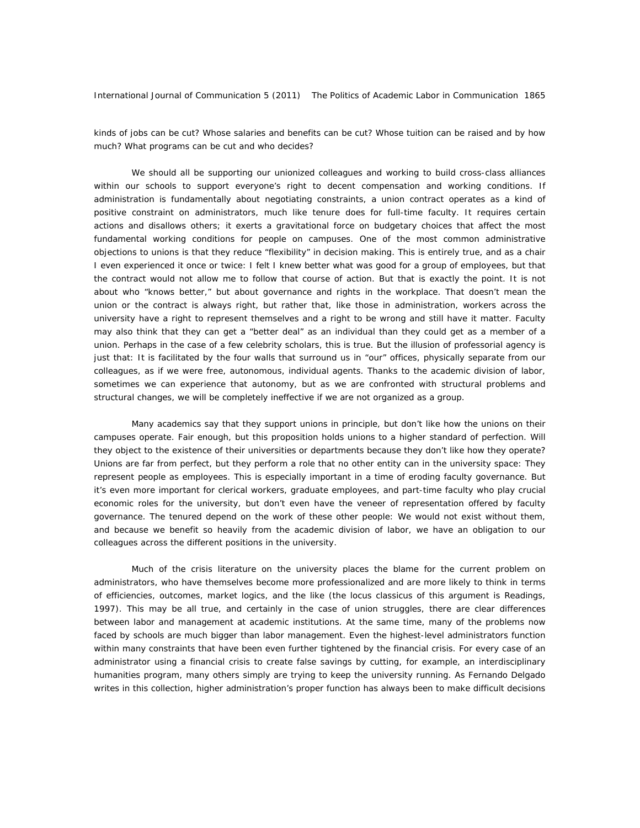kinds of jobs can be cut? Whose salaries and benefits can be cut? Whose tuition can be raised and by how much? What programs can be cut and who decides?

We should all be supporting our unionized colleagues and working to build cross-class alliances within our schools to support everyone's right to decent compensation and working conditions. If administration is fundamentally about negotiating constraints, a union contract operates as a kind of positive constraint on administrators, much like tenure does for full-time faculty. It requires certain actions and disallows others; it exerts a gravitational force on budgetary choices that affect the most fundamental working conditions for people on campuses. One of the most common administrative objections to unions is that they reduce "flexibility" in decision making. This is entirely true, and as a chair I even experienced it once or twice: I felt I knew better what was good for a group of employees, but that the contract would not allow me to follow that course of action. But that is exactly the point. It is not about who "knows better," but about governance and rights in the workplace. That doesn't mean the union or the contract is always right, but rather that, like those in administration, workers across the university have a right to represent themselves and a right to be wrong and still have it matter. Faculty may also think that they can get a "better deal" as an individual than they could get as a member of a union. Perhaps in the case of a few celebrity scholars, this is true. But the illusion of professorial agency is just that: It is facilitated by the four walls that surround us in "our" offices, physically separate from our colleagues, as if we were free, autonomous, individual agents. Thanks to the academic division of labor, sometimes we can experience that autonomy, but as we are confronted with structural problems and structural changes, we will be completely ineffective if we are not organized as a group.

Many academics say that they support unions in principle, but don't like how the unions on their campuses operate. Fair enough, but this proposition holds unions to a higher standard of perfection. Will they object to the existence of their universities or departments because they don't like how they operate? Unions are far from perfect, but they perform a role that no other entity can in the university space: They represent people as employees. This is especially important in a time of eroding faculty governance. But it's even more important for clerical workers, graduate employees, and part-time faculty who play crucial economic roles for the university, but don't even have the veneer of representation offered by faculty governance. The tenured depend on the work of these other people: We would not exist without them, and because we benefit so heavily from the academic division of labor, we have an obligation to our colleagues across the different positions in the university.

Much of the crisis literature on the university places the blame for the current problem on administrators, who have themselves become more professionalized and are more likely to think in terms of efficiencies, outcomes, market logics, and the like (the locus classicus of this argument is Readings, 1997). This may be all true, and certainly in the case of union struggles, there are clear differences between labor and management at academic institutions. At the same time, many of the problems now faced by schools are much bigger than labor management. Even the highest-level administrators function within many constraints that have been even further tightened by the financial crisis. For every case of an administrator using a financial crisis to create false savings by cutting, for example, an interdisciplinary humanities program, many others simply are trying to keep the university running. As Fernando Delgado writes in this collection, higher administration's proper function has always been to make difficult decisions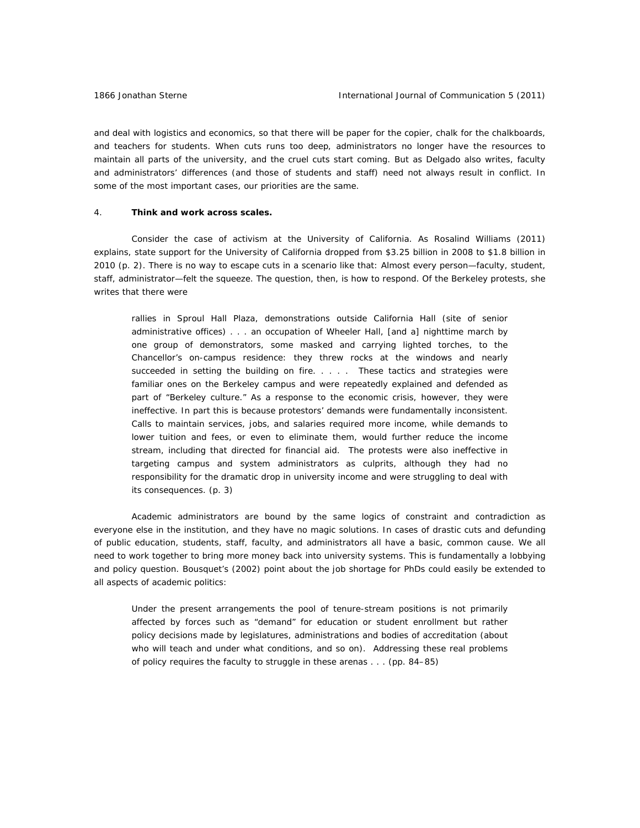and deal with logistics and economics, so that there will be paper for the copier, chalk for the chalkboards, and teachers for students. When cuts runs too deep, administrators no longer have the resources to maintain all parts of the university, and the cruel cuts start coming. But as Delgado also writes, faculty and administrators' differences (and those of students and staff) need not always result in conflict. In some of the most important cases, our priorities are the same.

## 4. *Think and work across scales.*

Consider the case of activism at the University of California. As Rosalind Williams (2011) explains, state support for the University of California dropped from \$3.25 billion in 2008 to \$1.8 billion in 2010 (p. 2). There is no way to escape cuts in a scenario like that: Almost every person—faculty, student, staff, administrator—felt the squeeze. The question, then, is how to respond. Of the Berkeley protests, she writes that there were

rallies in Sproul Hall Plaza, demonstrations outside California Hall (site of senior administrative offices) . . . an occupation of Wheeler Hall, [and a] nighttime march by one group of demonstrators, some masked and carrying lighted torches, to the Chancellor's on-campus residence: they threw rocks at the windows and nearly succeeded in setting the building on fire. . . . . These tactics and strategies were familiar ones on the Berkeley campus and were repeatedly explained and defended as part of "Berkeley culture." As a response to the economic crisis, however, they were ineffective. In part this is because protestors' demands were fundamentally inconsistent. Calls to maintain services, jobs, and salaries required more income, while demands to lower tuition and fees, or even to eliminate them, would further reduce the income stream, including that directed for financial aid. The protests were also ineffective in targeting campus and system administrators as culprits, although they had no responsibility for the dramatic drop in university income and were struggling to deal with its consequences. (p. 3)

Academic administrators are bound by the same logics of constraint and contradiction as everyone else in the institution, and they have no magic solutions. In cases of drastic cuts and defunding of public education, students, staff, faculty, and administrators all have a basic, common cause. We all need to work together to bring more money back into university systems. This is fundamentally a lobbying and policy question. Bousquet's (2002) point about the job shortage for PhDs could easily be extended to all aspects of academic politics:

Under the present arrangements the pool of tenure-stream positions is not primarily affected by forces such as "demand" for education or student enrollment but rather policy decisions made by legislatures, administrations and bodies of accreditation (about who will teach and under what conditions, and so on). Addressing these real problems of policy requires the faculty to struggle in these arenas . . . (pp. 84–85)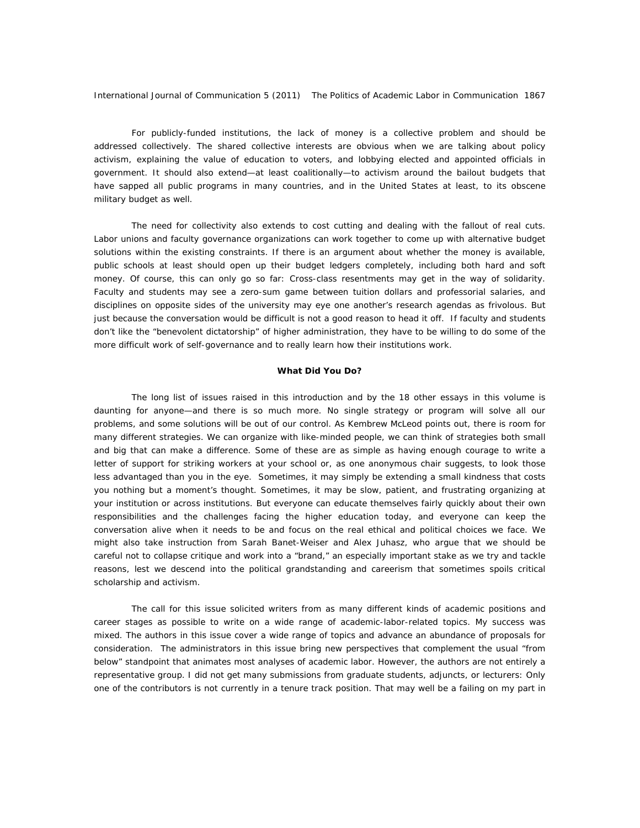For publicly-funded institutions, the lack of money is a collective problem and should be addressed collectively. The shared collective interests are obvious when we are talking about policy activism, explaining the value of education to voters, and lobbying elected and appointed officials in government. It should also extend—at least coalitionally—to activism around the bailout budgets that have sapped all public programs in many countries, and in the United States at least, to its obscene military budget as well.

The need for collectivity also extends to cost cutting and dealing with the fallout of real cuts. Labor unions and faculty governance organizations can work together to come up with alternative budget solutions within the existing constraints. If there is an argument about whether the money is available, public schools at least should open up their budget ledgers completely, including both hard and soft money. Of course, this can only go so far: Cross-class resentments may get in the way of solidarity. Faculty and students may see a zero-sum game between tuition dollars and professorial salaries, and disciplines on opposite sides of the university may eye one another's research agendas as frivolous. But just because the conversation would be difficult is not a good reason to head it off. If faculty and students don't like the "benevolent dictatorship" of higher administration, they have to be willing to do some of the more difficult work of self-governance and to really learn how their institutions work.

#### **What Did You Do?**

 The long list of issues raised in this introduction and by the 18 other essays in this volume is daunting for anyone—and there is so much more. No single strategy or program will solve all our problems, and some solutions will be out of our control. As Kembrew McLeod points out, there is room for many different strategies. We can organize with like-minded people, we can think of strategies both small and big that can make a difference. Some of these are as simple as having enough courage to write a letter of support for striking workers at your school or, as one anonymous chair suggests, to look those less advantaged than you in the eye. Sometimes, it may simply be extending a small kindness that costs you nothing but a moment's thought. Sometimes, it may be slow, patient, and frustrating organizing at your institution or across institutions. But everyone can educate themselves fairly quickly about their own responsibilities and the challenges facing the higher education today, and everyone can keep the conversation alive when it needs to be and focus on the real ethical and political choices we face. We might also take instruction from Sarah Banet-Weiser and Alex Juhasz, who argue that we should be careful not to collapse critique and work into a "brand," an especially important stake as we try and tackle reasons, lest we descend into the political grandstanding and careerism that sometimes spoils critical scholarship and activism.

 The call for this issue solicited writers from as many different kinds of academic positions and career stages as possible to write on a wide range of academic-labor-related topics. My success was mixed. The authors in this issue cover a wide range of topics and advance an abundance of proposals for consideration. The administrators in this issue bring new perspectives that complement the usual "from below" standpoint that animates most analyses of academic labor. However, the authors are not entirely a representative group. I did not get many submissions from graduate students, adjuncts, or lecturers: Only one of the contributors is not currently in a tenure track position. That may well be a failing on my part in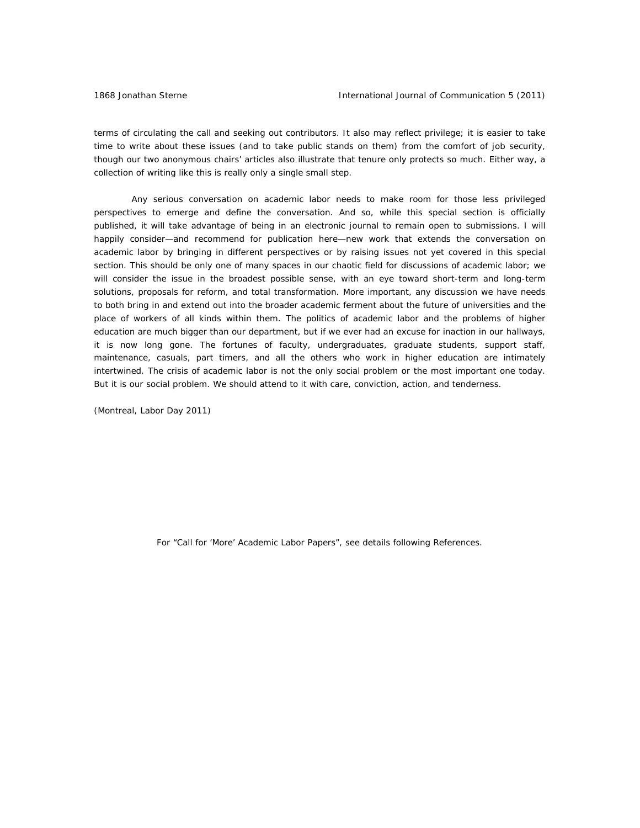terms of circulating the call and seeking out contributors. It also may reflect privilege; it is easier to take time to write about these issues (and to take public stands on them) from the comfort of job security, though our two anonymous chairs' articles also illustrate that tenure only protects so much. Either way, a collection of writing like this is really only a single small step.

Any serious conversation on academic labor needs to make room for those less privileged perspectives to emerge and define the conversation. And so, while this special section is officially published, it will take advantage of being in an electronic journal to remain open to submissions. I will happily consider—and recommend for publication here—new work that extends the conversation on academic labor by bringing in different perspectives or by raising issues not yet covered in this special section. This should be only one of many spaces in our chaotic field for discussions of academic labor; we will consider the issue in the broadest possible sense, with an eye toward short-term and long-term solutions, proposals for reform, and total transformation. More important, any discussion we have needs to both bring in and extend out into the broader academic ferment about the future of universities and the place of workers of all kinds within them. The politics of academic labor and the problems of higher education are much bigger than our department, but if we ever had an excuse for inaction in our hallways, it is now long gone. The fortunes of faculty, undergraduates, graduate students, support staff, maintenance, casuals, part timers, and all the others who work in higher education are intimately intertwined. The crisis of academic labor is not the only social problem or the most important one today. But it is our social problem. We should attend to it with care, conviction, action, and tenderness.

(Montreal, Labor Day 2011)

*For "Call for 'More' Academic Labor Papers", see details following References.*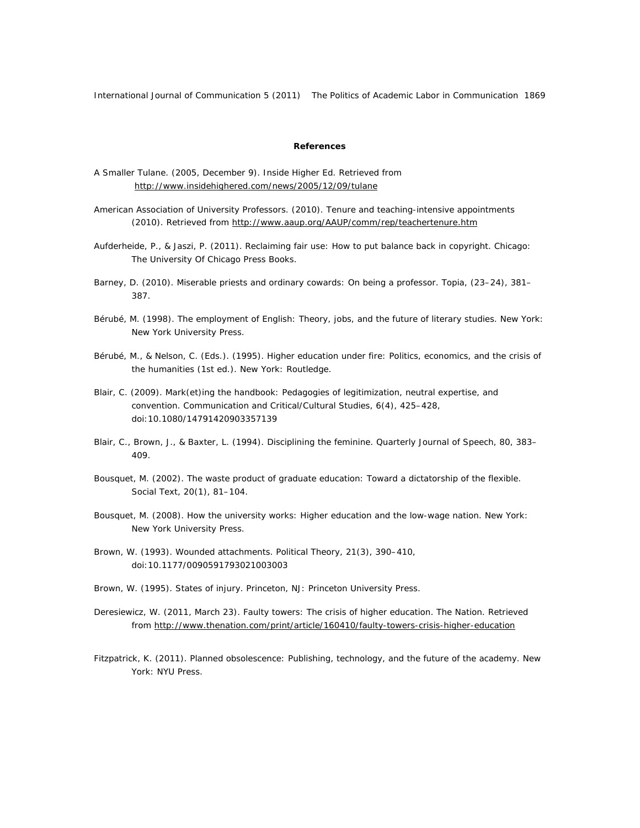#### **References**

A Smaller Tulane. (2005, December 9). *Inside Higher Ed*. Retrieved from http://www.insidehighered.com/news/2005/12/09/tulane

- American Association of University Professors. (2010). *Tenure and teaching-intensive appointments*  (2010). Retrieved from http://www.aaup.org/AAUP/comm/rep/teachertenure.htm
- Aufderheide, P., & Jaszi, P. (2011). *Reclaiming fair use: How to put balance back in copyright*. Chicago: The University Of Chicago Press Books.
- Barney, D. (2010). Miserable priests and ordinary cowards: On being a professor. *Topia*, *(23–24)*, 381– 387.
- Bérubé, M. (1998). *The employment of English: Theory, jobs, and the future of literary studies*. New York: New York University Press.
- Bérubé, M., & Nelson, C. (Eds.). (1995). *Higher education under fire: Politics, economics, and the crisis of the humanities* (1st ed.). New York: Routledge.
- Blair, C. (2009). Mark(et)ing the handbook: Pedagogies of legitimization, neutral expertise, and convention. *Communication and Critical/Cultural Studies*, *6*(4), 425–428, doi:10.1080/14791420903357139
- Blair, C., Brown, J., & Baxter, L. (1994). Disciplining the feminine. *Quarterly Journal of Speech*, *80*, 383– 409.
- Bousquet, M. (2002). The waste product of graduate education: Toward a dictatorship of the flexible. *Social Text*, *20*(1), 81–104.
- Bousquet, M. (2008). *How the university works: Higher education and the low-wage nation*. New York: New York University Press.
- Brown, W. (1993). Wounded attachments. *Political Theory*, *21*(3), 390–410, doi:10.1177/0090591793021003003
- Brown, W. (1995). *States of injury*. Princeton, NJ: Princeton University Press.
- Deresiewicz, W. (2011, March 23). Faulty towers: The crisis of higher education. *The Nation*. Retrieved from http://www.thenation.com/print/article/160410/faulty-towers-crisis-higher-education
- Fitzpatrick, K. (2011). *Planned obsolescence: Publishing, technology, and the future of the academy*. New York: NYU Press.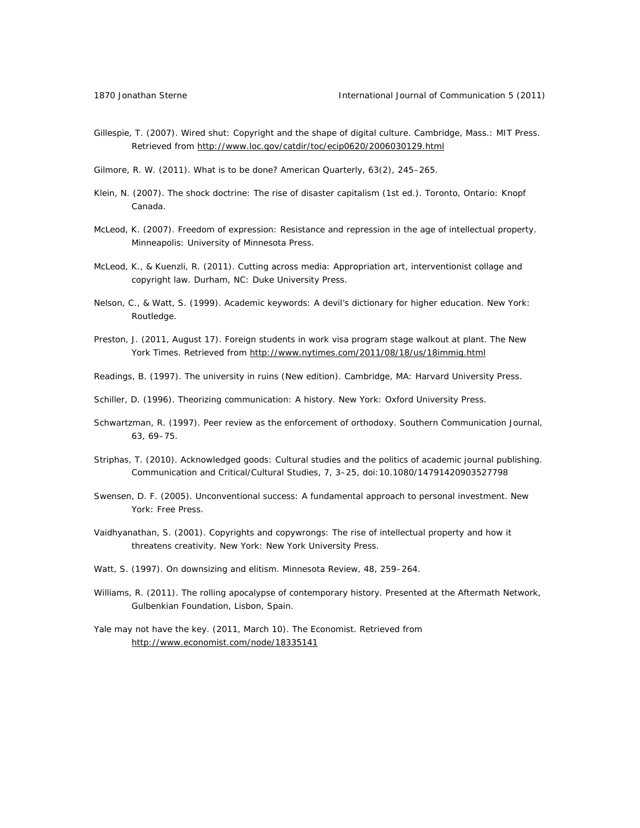- Gillespie, T. (2007). *Wired shut: Copyright and the shape of digital culture*. Cambridge, Mass.: MIT Press. Retrieved from http://www.loc.gov/catdir/toc/ecip0620/2006030129.html
- Gilmore, R. W. (2011). What is to be done? *American Quarterly*, *63*(2), 245–265.
- Klein, N. (2007). *The shock doctrine: The rise of disaster capitalism* (1st ed.). Toronto, Ontario: Knopf Canada.
- McLeod, K. (2007). *Freedom of expression: Resistance and repression in the age of intellectual property*. Minneapolis: University of Minnesota Press.
- McLeod, K., & Kuenzli, R. (2011). *Cutting across media: Appropriation art, interventionist collage and copyright law*. Durham, NC: Duke University Press.
- Nelson, C., & Watt, S. (1999). *Academic keywords: A devil's dictionary for higher education*. New York: Routledge.
- Preston, J. (2011, August 17). Foreign students in work visa program stage walkout at plant. *The New York Times*. Retrieved from http://www.nytimes.com/2011/08/18/us/18immig.html
- Readings, B. (1997). *The university in ruins* (New edition). Cambridge, MA: Harvard University Press.
- Schiller, D. (1996). *Theorizing communication: A history*. New York: Oxford University Press.
- Schwartzman, R. (1997). Peer review as the enforcement of orthodoxy. *Southern Communication Journal*, *63*, 69–75.
- Striphas, T. (2010). Acknowledged goods: Cultural studies and the politics of academic journal publishing. *Communication and Critical/Cultural Studies*, *7*, 3–25, doi:10.1080/14791420903527798
- Swensen, D. F. (2005). *Unconventional success: A fundamental approach to personal investment*. New York: Free Press.
- Vaidhyanathan, S. (2001). Copyrights and copywrongs: The rise of intellectual property and how it threatens creativity. New York: New York University Press.
- Watt, S. (1997). On downsizing and elitism. *Minnesota Review*, *48*, 259–264.
- Williams, R. (2011). *The rolling apocalypse of contemporary history*. Presented at the Aftermath Network, Gulbenkian Foundation, Lisbon, Spain.
- Yale may not have the key. (2011, March 10). *The Economist*. Retrieved from http://www.economist.com/node/18335141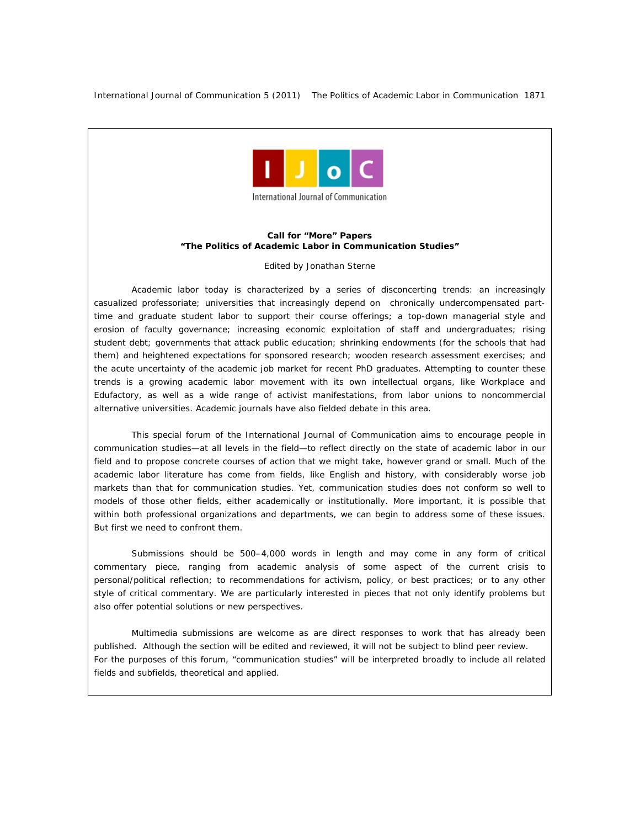

International Journal of Communication

#### **Call for "More" Papers "The Politics of Academic Labor in Communication Studies"**

#### Edited by Jonathan Sterne

Academic labor today is characterized by a series of disconcerting trends: an increasingly casualized professoriate; universities that increasingly depend on chronically undercompensated parttime and graduate student labor to support their course offerings; a top-down managerial style and erosion of faculty governance; increasing economic exploitation of staff and undergraduates; rising student debt; governments that attack public education; shrinking endowments (for the schools that had them) and heightened expectations for sponsored research; wooden research assessment exercises; and the acute uncertainty of the academic job market for recent PhD graduates. Attempting to counter these trends is a growing academic labor movement with its own intellectual organs, like *Workplace* and *Edufactory*, as well as a wide range of activist manifestations, from labor unions to noncommercial alternative universities. Academic journals have also fielded debate in this area.

This special forum of the *International Journal of Communication* aims to encourage people in communication studies—at all levels in the field—to reflect directly on the state of academic labor in our field and to propose concrete courses of action that we might take, however grand or small. Much of the academic labor literature has come from fields, like English and history, with considerably worse job markets than that for communication studies. Yet, communication studies does not conform so well to models of those other fields, either academically or institutionally. More important, it is possible that within both professional organizations and departments, we can begin to address some of these issues. But first we need to confront them.

Submissions should be 500–4,000 words in length and may come in any form of critical commentary piece, ranging from academic analysis of some aspect of the current crisis to personal/political reflection; to recommendations for activism, policy, or best practices; or to any other style of critical commentary. We are particularly interested in pieces that not only identify problems but also offer potential solutions or new perspectives.

Multimedia submissions are welcome as are direct responses to work that has already been published. Although the section will be edited and reviewed, it will not be subject to blind peer review. For the purposes of this forum, "communication studies" will be interpreted broadly to include all related fields and subfields, theoretical and applied.